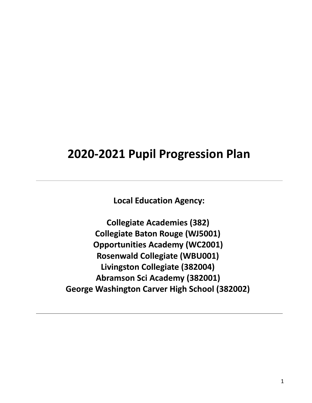# **2020-2021 Pupil Progression Plan**

**Local Education Agency:** 

**Collegiate Academies (382) Collegiate Baton Rouge (WJ5001) Opportunities Academy (WC2001) Rosenwald Collegiate (WBU001) Livingston Collegiate (382004) Abramson Sci Academy (382001) George Washington Carver High School (382002)**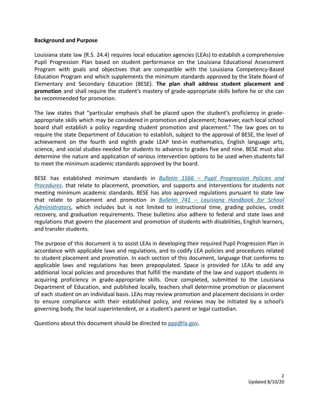#### **Background and Purpose**

Louisiana state law (R.S. 24.4) requires local education agencies (LEAs) to establish a comprehensive Pupil Progression Plan based on student performance on the Louisiana Educational Assessment Program with goals and objectives that are compatible with the Louisiana Competency-Based Education Program and which supplements the minimum standards approved by the State Board of Elementary and Secondary Education (BESE). **The plan shall address student placement and promotion** and shall require the student's mastery of grade-appropriate skills before he or she can be recommended for promotion.

The law states that "particular emphasis shall be placed upon the student's proficiency in gradeappropriate skills which may be considered in promotion and placement; however, each local school board shall establish a policy regarding student promotion and placement." The law goes on to require the state Department of Education to establish, subject to the approval of BESE, the level of achievement on the fourth and eighth grade LEAP test-in mathematics, English language arts, science, and social studies-needed for students to advance to grades five and nine. BESE must also determine the nature and application of various intervention options to be used when students fail to meet the minimum academic standards approved by the board.

BESE has established minimum standards in *Bulletin 1566 – Pupil Progression Policies and Procedures* . that relate to placement, promotion, and supports and interventions for students not meeting minimum academic standards. BESE has also approved regulations pursuant to state law that relate to placement and promotion in *Bulletin 741 – Louisiana Handbook for School*  Administrators, which includes but is not limited to instructional time, grading policies, credit recovery, and graduation requirements. These bulletins also adhere to federal and state laws and regulations that govern the placement and promotion of students with disabilities, English learners, and transfer students.

The purpose of this document is to assist LEAs in developing their required Pupil Progression Plan in accordance with applicable laws and regulations, and to codify LEA policies and procedures related to student placement and promotion. In each section of this document, language that conforms to applicable laws and regulations has been prepopulated. Space is provided for LEAs to add any additional local policies and procedures that fulfill the mandate of the law and support students in acquiring proficiency in grade-appropriate skills. Once completed, submitted to the Louisiana Department of Education, and published locally, teachers shall determine promotion or placement of each student on an individual basis. LEAs may review promotion and placement decisions in order to ensure compliance with their established policy, and reviews may be initiated by a school's governing body, the local superintendent, or a student's parent or legal custodian.

Questions about this document should be directed to  $ppp@la.gov$ .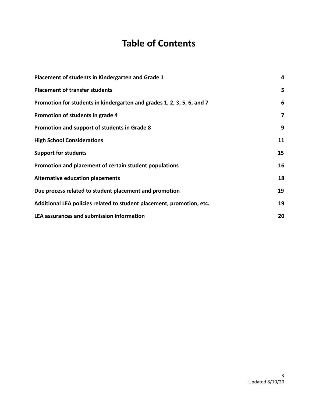## **Table of Contents**

| Placement of students in Kindergarten and Grade 1                      | 4  |
|------------------------------------------------------------------------|----|
| <b>Placement of transfer students</b>                                  | 5  |
| Promotion for students in kindergarten and grades 1, 2, 3, 5, 6, and 7 | 6  |
| Promotion of students in grade 4                                       | 7  |
| Promotion and support of students in Grade 8                           | 9  |
| <b>High School Considerations</b>                                      | 11 |
| <b>Support for students</b>                                            | 15 |
| Promotion and placement of certain student populations                 | 16 |
| <b>Alternative education placements</b>                                | 18 |
| Due process related to student placement and promotion                 | 19 |
| Additional LEA policies related to student placement, promotion, etc.  | 19 |
| <b>LEA assurances and submission information</b>                       | 20 |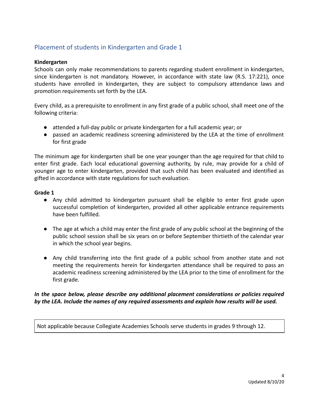## Placement of students in Kindergarten and Grade 1

#### **Kindergarten**

Schools can only make recommendations to parents regarding student enrollment in kindergarten, since kindergarten is not mandatory. However, in accordance with state law (R.S. 17:221), once students have enrolled in kindergarten, they are subject to compulsory attendance laws and promotion requirements set forth by the LEA.

Every child, as a prerequisite to enrollment in any first grade of a public school, shall meet one of the following criteria:

- attended a full-day public or private kindergarten for a full academic year; or
- passed an academic readiness screening administered by the LEA at the time of enrollment for first grade

The minimum age for kindergarten shall be one year younger than the age required for that child to enter first grade. Each local educational governing authority, by rule, may provide for a child of younger age to enter kindergarten, provided that such child has been evaluated and identified as gifted in accordance with state regulations for such evaluation.

#### **Grade 1**

- Any child admitted to kindergarten pursuant shall be eligible to enter first grade upon successful completion of kindergarten, provided all other applicable entrance requirements have been fulfilled.
- The age at which a child may enter the first grade of any public school at the beginning of the public school session shall be six years on or before September thirtieth of the calendar year in which the school year begins.
- Any child transferring into the first grade of a public school from another state and not meeting the requirements herein for kindergarten attendance shall be required to pass an academic readiness screening administered by the LEA prior to the time of enrollment for the first grade.

#### *In the space below, please describe any additional placement considerations or policies required by the LEA. Include the names of any required assessments and explain how results will be used.*

Not applicable because Collegiate Academies Schools serve students in grades 9 through 12.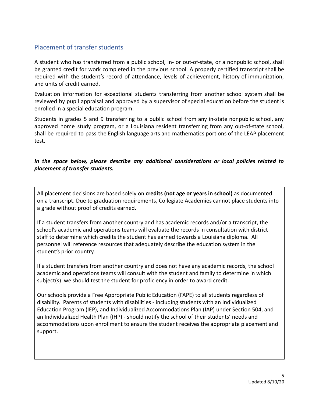## Placement of transfer students

A student who has transferred from a public school, in- or out-of-state, or a nonpublic school, shall be granted credit for work completed in the previous school. A properly certified transcript shall be required with the student's record of attendance, levels of achievement, history of immunization, and units of credit earned.

Evaluation information for exceptional students transferring from another school system shall be reviewed by pupil appraisal and approved by a supervisor of special education before the student is enrolled in a special education program.

Students in grades 5 and 9 transferring to a public school from any in-state nonpublic school, any approved home study program, or a Louisiana resident transferring from any out-of-state school, shall be required to pass the English language arts and mathematics portions of the LEAP placement test.

#### *In the space below, please describe any additional considerations or local policies related to placement of transfer students.*

All placement decisions are based solely on **credits (not age or years in school)** as documented on a transcript. Due to graduation requirements, Collegiate Academies cannot place students into a grade without proof of credits earned.

If a student transfers from another country and has academic records and/or a transcript, the school's academic and operations teams will evaluate the records in consultation with district staff to determine which credits the student has earned towards a Louisiana diploma. All personnel will reference resources that adequately describe the education system in the student's prior country.

If a student transfers from another country and does not have any academic records, the school academic and operations teams will consult with the student and family to determine in which subject(s) we should test the student for proficiency in order to award credit.

Our schools provide a Free Appropriate Public Education (FAPE) to all students regardless of disability. Parents of students with disabilities - including students with an Individualized Education Program (IEP), and Individualized Accommodations Plan (IAP) under Section 504, and an Individualized Health Plan (IHP) - should notify the school of their students' needs and accommodations upon enrollment to ensure the student receives the appropriate placement and support.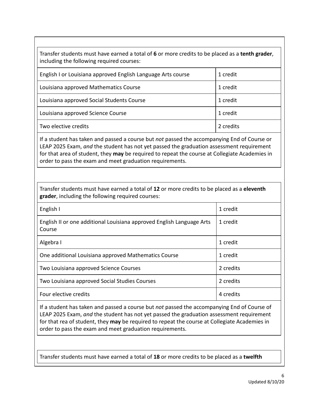Transfer students must have earned a total of **6** or more credits to be placed as a **tenth grader** , including the following required courses:

| English I or Louisiana approved English Language Arts course | 1 credit  |
|--------------------------------------------------------------|-----------|
| Louisiana approved Mathematics Course                        | 1 credit  |
| Louisiana approved Social Students Course                    | 1 credit  |
| Louisiana approved Science Course                            | 1 credit  |
| Two elective credits                                         | 2 credits |

If a student has taken and passed a course but *not* passed the accompanying End of Course or LEAP 2025 Exam, *and* the student has not yet passed the graduation assessment requirement for that area of student, they **may** be required to repeat the course at Collegiate Academies in order to pass the exam and meet graduation requirements.

Transfer students must have earned a total of **12** or more credits to be placed as a **eleventh**  grader, including the following required courses:

| English I                                                                       | 1 credit  |
|---------------------------------------------------------------------------------|-----------|
| English II or one additional Louisiana approved English Language Arts<br>Course | 1 credit  |
| Algebra I                                                                       | 1 credit  |
| One additional Louisiana approved Mathematics Course                            | 1 credit  |
| Two Louisiana approved Science Courses                                          | 2 credits |
| Two Louisiana approved Social Studies Courses                                   | 2 credits |
| Four elective credits                                                           | 4 credits |

If a student has taken and passed a course but *not* passed the accompanying End of Course of LEAP 2025 Exam, *and* the student has not yet passed the graduation assessment requirement for that rea of student, they **may** be required to repeat the course at Collegiate Academies in order to pass the exam and meet graduation requirements.

Transfer students must have earned a total of **18** or more credits to be placed as a **twelfth**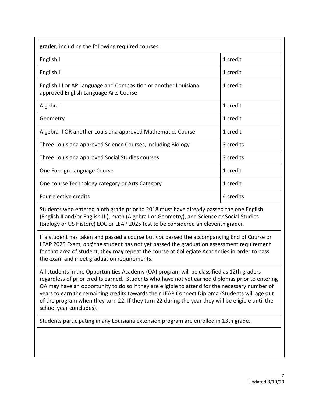| grader, including the following required courses:                                                        |           |
|----------------------------------------------------------------------------------------------------------|-----------|
| English I                                                                                                | 1 credit  |
| English II                                                                                               | 1 credit  |
| English III or AP Language and Composition or another Louisiana<br>approved English Language Arts Course | 1 credit  |
| Algebra I                                                                                                | 1 credit  |
| Geometry                                                                                                 | 1 credit  |
| Algebra II OR another Louisiana approved Mathematics Course                                              | 1 credit  |
| Three Louisiana approved Science Courses, including Biology                                              | 3 credits |
| Three Louisiana approved Social Studies courses                                                          | 3 credits |
| One Foreign Language Course                                                                              | 1 credit  |
| One course Technology category or Arts Category                                                          | 1 credit  |
| Four elective credits                                                                                    | 4 credits |

Students who entered ninth grade prior to 2018 must have already passed the one English (English II and/or English III), math (Algebra I or Geometry), and Science or Social Studies (Biology or US History) EOC or LEAP 2025 test to be considered an eleventh grader.

If a student has taken and passed a course but *not* passed the accompanying End of Course or LEAP 2025 Exam, *and* the student has not yet passed the graduation assessment requirement for that area of student, they **may** repeat the course at Collegiate Academies in order to pass the exam and meet graduation requirements.

All students in the Opportunities Academy (OA) program will be classified as 12th graders regardless of prior credits earned. Students who have not yet earned diplomas prior to entering OA may have an opportunity to do so if they are eligible to attend for the necessary number of years to earn the remaining credits towards their LEAP Connect Diploma (Students will age out of the program when they turn 22. If they turn 22 during the year they will be eligible until the school year concludes).

Students participating in any Louisiana extension program are enrolled in 13th grade.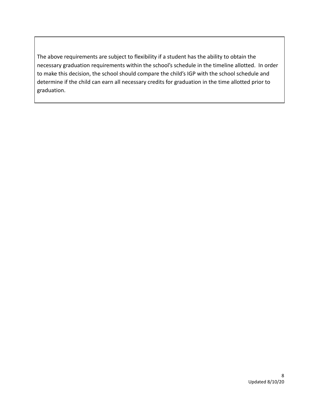The above requirements are subject to flexibility if a student has the ability to obtain the necessary graduation requirements within the school's schedule in the timeline allotted. In order to make this decision, the school should compare the child's IGP with the school schedule and determine if the child can earn all necessary credits for graduation in the time allotted prior to graduation.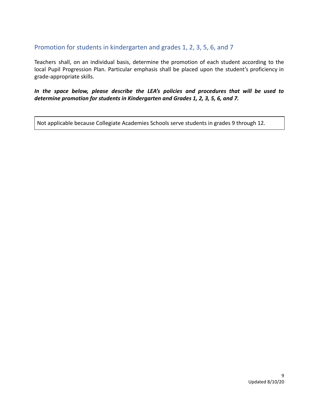## Promotion for students in kindergarten and grades 1, 2, 3, 5, 6, and 7

Teachers shall, on an individual basis, determine the promotion of each student according to the local Pupil Progression Plan. Particular emphasis shall be placed upon the student's proficiency in grade-appropriate skills.

*In the space below, please describe the LEA's policies and procedures that will be used to determine promotion for students in Kindergarten and Grades 1, 2, 3, 5, 6, and 7.* 

Not applicable because Collegiate Academies Schools serve students in grades 9 through 12.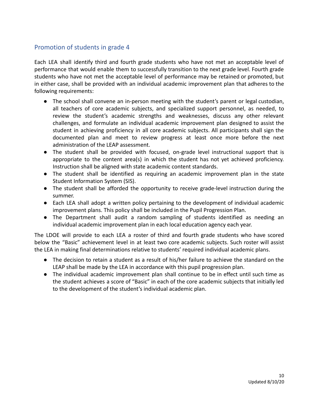## Promotion of students in grade 4

Each LEA shall identify third and fourth grade students who have not met an acceptable level of performance that would enable them to successfully transition to the next grade level. Fourth grade students who have not met the acceptable level of performance may be retained or promoted, but in either case, shall be provided with an individual academic improvement plan that adheres to the following requirements:

- The school shall convene an in-person meeting with the student's parent or legal custodian, all teachers of core academic subjects, and specialized support personnel, as needed, to review the student's academic strengths and weaknesses, discuss any other relevant challenges, and formulate an individual academic improvement plan designed to assist the student in achieving proficiency in all core academic subjects. All participants shall sign the documented plan and meet to review progress at least once more before the next administration of the LEAP assessment.
- The student shall be provided with focused, on-grade level instructional support that is appropriate to the content area(s) in which the student has not yet achieved proficiency. Instruction shall be aligned with state academic content standards.
- The student shall be identified as requiring an academic improvement plan in the state Student Information System (SIS).
- The student shall be afforded the opportunity to receive grade-level instruction during the summer.
- Each LEA shall adopt a written policy pertaining to the development of individual academic improvement plans. This policy shall be included in the Pupil Progression Plan.
- The Department shall audit a random sampling of students identified as needing an individual academic improvement plan in each local education agency each year.

The LDOE will provide to each LEA a roster of third and fourth grade students who have scored below the "Basic" achievement level in at least two core academic subjects. Such roster will assist the LEA in making final determinations relative to students' required individual academic plans.

- The decision to retain a student as a result of his/her failure to achieve the standard on the LEAP shall be made by the LEA in accordance with this pupil progression plan.
- The individual academic improvement plan shall continue to be in effect until such time as the student achieves a score of "Basic" in each of the core academic subjects that initially led to the development of the student's individual academic plan.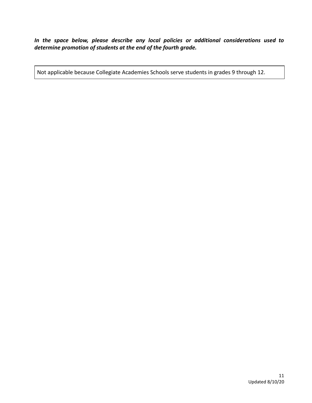*In the space below, please describe any local policies or additional considerations used to determine promotion of students at the end of the fourth grade.* 

Not applicable because Collegiate Academies Schools serve students in grades 9 through 12.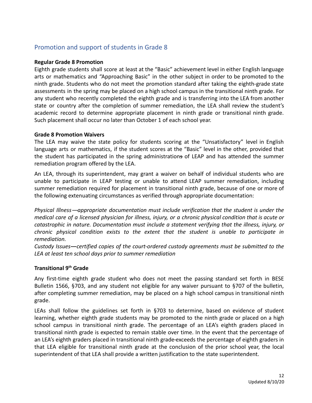## Promotion and support of students in Grade 8

#### **Regular Grade 8 Promotion**

Eighth grade students shall score at least at the "Basic" achievement level in either English language arts or mathematics and "Approaching Basic" in the other subject in order to be promoted to the ninth grade. Students who do not meet the promotion standard after taking the eighth-grade state assessments in the spring may be placed on a high school campus in the transitional ninth grade. For any student who recently completed the eighth grade and is transferring into the LEA from another state or country after the completion of summer remediation, the LEA shall review the student's academic record to determine appropriate placement in ninth grade or transitional ninth grade. Such placement shall occur no later than October 1 of each school year.

#### **Grade 8 Promotion Waivers**

The LEA may waive the state policy for students scoring at the "Unsatisfactory" level in English language arts or mathematics, if the student scores at the "Basic" level in the other, provided that the student has participated in the spring administrations of LEAP and has attended the summer remediation program offered by the LEA.

An LEA, through its superintendent, may grant a waiver on behalf of individual students who are unable to participate in LEAP testing or unable to attend LEAP summer remediation, including summer remediation required for placement in transitional ninth grade, because of one or more of the following extenuating circumstances as verified through appropriate documentation:

*Physical Illness appropriate documentation must include verification that the student is under the medical care of a licensed physician for illness, injury, or a chronic physical condition that is acute or catastrophic in nature. Documentation must include a statement verifying that the illness, injury, or chronic physical condition exists to the extent that the student is unable to participate in remediation.* 

Custody Issues—certified copies of the court-ordered custody agreements must be submitted to the *LEA at least ten school days prior to summer remediation* 

#### **Transitional 9<sup>th</sup> Grade**

Any first-time eighth grade student who does not meet the passing standard set forth in BESE Bulletin 1566, §703, and any student not eligible for any waiver pursuant to §707 of the bulletin, after completing summer remediation, may be placed on a high school campus in transitional ninth grade.

LEAs shall follow the guidelines set forth in §703 to determine, based on evidence of student learning, whether eighth grade students may be promoted to the ninth grade or placed on a high school campus in transitional ninth grade. The percentage of an LEA's eighth graders placed in transitional ninth grade is expected to remain stable over time. In the event that the percentage of an LEA's eighth graders placed in transitional ninth grade exceeds the percentage of eighth graders in that LEA eligible for transitional ninth grade at the conclusion of the prior school year, the local superintendent of that LEA shall provide a written justification to the state superintendent.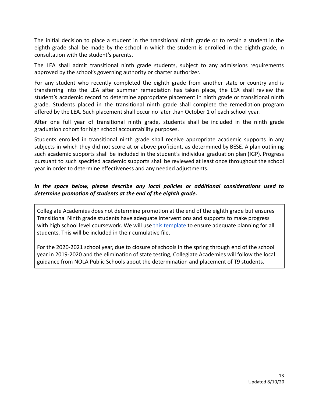The initial decision to place a student in the transitional ninth grade or to retain a student in the eighth grade shall be made by the school in which the student is enrolled in the eighth grade, in consultation with the student's parents.

The LEA shall admit transitional ninth grade students, subject to any admissions requirements approved by the school's governing authority or charter authorizer.

For any student who recently completed the eighth grade from another state or country and is transferring into the LEA after summer remediation has taken place, the LEA shall review the student's academic record to determine appropriate placement in ninth grade or transitional ninth grade. Students placed in the transitional ninth grade shall complete the remediation program offered by the LEA. Such placement shall occur no later than October 1 of each school year.

After one full year of transitional ninth grade, students shall be included in the ninth grade graduation cohort for high school accountability purposes.

Students enrolled in transitional ninth grade shall receive appropriate academic supports in any subjects in which they did not score at or above proficient, as determined by BESE. A plan outlining such academic supports shall be included in the student's individual graduation plan (IGP). Progress pursuant to such specified academic supports shall be reviewed at least once throughout the school year in order to determine effectiveness and any needed adjustments.

#### *In the space below, please describe any local policies or additional considerations used to determine promotion of students at the end of the eighth grade.*

Collegiate Academies does not determine promotion at the end of the eighth grade but ensures Transitional Ninth grade students have adequate interventions and supports to make progress with high school level coursework. We will use this template to ensure adequate planning for all students. This will be included in their cumulative file.

For the 2020-2021 school year, due to closure of schools in the spring through end of the school year in 2019-2020 and the elimination of state testing, Collegiate Academies will follow the local guidance from NOLA Public Schools about the determination and placement of T9 students.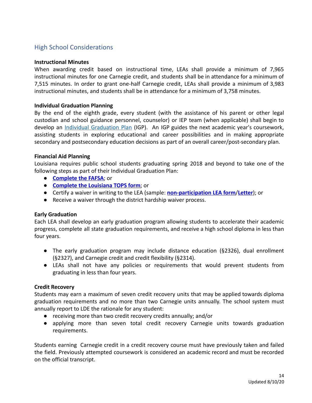## High School Considerations

#### **Instructional Minutes**

When awarding credit based on instructional time, LEAs shall provide a minimum of 7,965 instructional minutes for one Carnegie credit, and students shall be in attendance for a minimum of 7,515 minutes. In order to grant one-half Carnegie credit, LEAs shall provide a minimum of 3,983 instructional minutes, and students shall be in attendance for a minimum of 3,758 minutes.

#### **Individual Graduation Planning**

By the end of the eighth grade, every student (with the assistance of his parent or other legal custodian and school guidance personnel, counselor) or IEP team (when applicable) shall begin to develop an Individual Graduation Plan (IGP). An IGP guides the next academic year's coursework, assisting students in exploring educational and career possibilities and in making appropriate secondary and postsecondary education decisions as part of an overall career/post-secondary plan.

#### **Financial Aid Planning**

Louisiana requires public school students graduating spring 2018 and beyond to take one of the following steps as part of their Individual Graduation Plan:

- **Complete the FAFSA; or**
- **Complete the Louisiana TOPS form** ; or
- **•** Certify a waiver in writing to the LEA (sample: **non-participation LEA form/Letter**); or
- Receive a waiver through the district hardship waiver process.

#### **Early Graduation**

Each LEA shall develop an early graduation program allowing students to accelerate their academic progress, complete all state graduation requirements, and receive a high school diploma in less than four years.

- The early graduation program may include distance education (§2326), dual enrollment (§2327), and Carnegie credit and credit flexibility (§2314).
- LEAs shall not have any policies or requirements that would prevent students from graduating in less than four years.

#### **Credit Recovery**

Students may earn a maximum of seven credit recovery units that may be applied towards diploma graduation requirements and no more than two Carnegie units annually. The school system must annually report to LDE the rationale for any student:

- receiving more than two credit recovery credits annually; and/or
- applying more than seven total credit recovery Carnegie units towards graduation requirements.

Students earning Carnegie credit in a credit recovery course must have previously taken and failed the field. Previously attempted coursework is considered an academic record and must be recorded on the official transcript.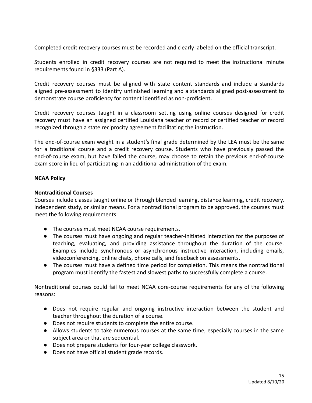Completed credit recovery courses must be recorded and clearly labeled on the official transcript.

Students enrolled in credit recovery courses are not required to meet the instructional minute requirements found in §333 (Part A).

Credit recovery courses must be aligned with state content standards and include a standards aligned pre-assessment to identify unfinished learning and a standards aligned post-assessment to demonstrate course proficiency for content identified as non-proficient.

Credit recovery courses taught in a classroom setting using online courses designed for credit recovery must have an assigned certified Louisiana teacher of record or certified teacher of record recognized through a state reciprocity agreement facilitating the instruction.

The end-of-course exam weight in a student's final grade determined by the LEA must be the same for a traditional course and a credit recovery course. Students who have previously passed the end-of-course exam, but have failed the course, may choose to retain the previous end-of-course exam score in lieu of participating in an additional administration of the exam.

#### **NCAA Policy**

#### **Nontraditional Courses**

Courses include classes taught online or through blended learning, distance learning, credit recovery, independent study, or similar means. For a nontraditional program to be approved, the courses must meet the following requirements:

- The courses must meet NCAA course requirements.
- The courses must have ongoing and regular teacher-initiated interaction for the purposes of teaching, evaluating, and providing assistance throughout the duration of the course. Examples include synchronous or asynchronous instructive interaction, including emails, videoconferencing, online chats, phone calls, and feedback on assessments.
- The courses must have a defined time period for completion. This means the nontraditional program must identify the fastest and slowest paths to successfully complete a course.

Nontraditional courses could fail to meet NCAA core-course requirements for any of the following reasons:

- Does not require regular and ongoing instructive interaction between the student and teacher throughout the duration of a course.
- Does not require students to complete the entire course.
- Allows students to take numerous courses at the same time, especially courses in the same subject area or that are sequential.
- Does not prepare students for four-year college classwork.
- Does not have official student grade records.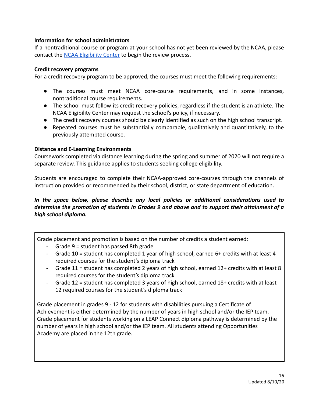#### **Information for school administrators**

If a nontraditional course or program at your school has not yet been reviewed by the NCAA, please contact the NCAA Eligibility Center to begin the review process.

#### **Credit recovery programs**

For a credit recovery program to be approved, the courses must meet the following requirements:

- The courses must meet NCAA core-course requirements, and in some instances, nontraditional course requirements.
- The school must follow its credit recovery policies, regardless if the student is an athlete. The NCAA Eligibility Center may request the school's policy, if necessary.
- The credit recovery courses should be clearly identified as such on the high school transcript.
- Repeated courses must be substantially comparable, qualitatively and quantitatively, to the previously attempted course.

#### **Distance and E-Learning Environments**

Coursework completed via distance learning during the spring and summer of 2020 will not require a separate review. This guidance applies to students seeking college eligibility.

Students are encouraged to complete their NCAA-approved core-courses through the channels of instruction provided or recommended by their school, district, or state department of education.

#### *In the space below, please describe any local policies or additional considerations used to determine the promotion of students in Grades 9 and above and to support their attainment of a high school diploma.*

Grade placement and promotion is based on the number of credits a student earned:

- Grade 9 = student has passed 8th grade
- Grade 10 = student has completed 1 year of high school, earned 6+ credits with at least 4 required courses for the student's diploma track
- Grade 11 = student has completed 2 years of high school, earned 12+ credits with at least 8 required courses for the student's diploma track
- Grade 12 = student has completed 3 years of high school, earned 18+ credits with at least 12 required courses for the student's diploma track

Grade placement in grades 9 - 12 for students with disabilities pursuing a Certificate of Achievement is either determined by the number of years in high school and/or the IEP team. Grade placement for students working on a LEAP Connect diploma pathway is determined by the number of years in high school and/or the IEP team. All students attending Opportunities Academy are placed in the 12th grade.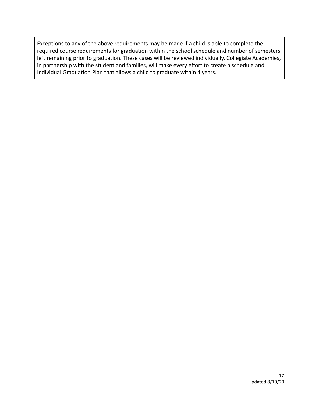Exceptions to any of the above requirements may be made if a child is able to complete the required course requirements for graduation within the school schedule and number of semesters left remaining prior to graduation. These cases will be reviewed individually. Collegiate Academies, in partnership with the student and families, will make every effort to create a schedule and Individual Graduation Plan that allows a child to graduate within 4 years.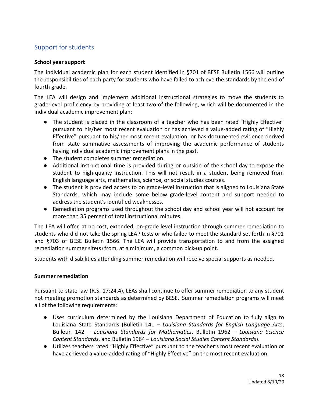## Support for students

#### **School year support**

The individual academic plan for each student identified in §701 of BESE Bulletin 1566 will outline the responsibilities of each party for students who have failed to achieve the standards by the end of fourth grade.

The LEA will design and implement additional instructional strategies to move the students to grade-level proficiency by providing at least two of the following, which will be documented in the individual academic improvement plan:

- The student is placed in the classroom of a teacher who has been rated "Highly Effective" pursuant to his/her most recent evaluation or has achieved a value-added rating of "Highly Effective" pursuant to his/her most recent evaluation, or has documented evidence derived from state summative assessments of improving the academic performance of students having individual academic improvement plans in the past.
- The student completes summer remediation.
- Additional instructional time is provided during or outside of the school day to expose the student to high-quality instruction. This will not result in a student being removed from English language arts, mathematics, science, or social studies courses.
- The student is provided access to on grade-level instruction that is aligned to Louisiana State Standards, which may include some below grade-level content and support needed to address the student's identified weaknesses.
- **●** Remediation programs used throughout the school day and school year will not account for more than 35 percent of total instructional minutes.

The LEA will offer, at no cost, extended, on-grade level instruction through summer remediation to students who did not take the spring LEAP tests or who failed to meet the standard set forth in §701 and §703 of BESE Bulletin 1566. The LEA will provide transportation to and from the assigned remediation summer site(s) from, at a minimum, a common pick-up point.

Students with disabilities attending summer remediation will receive special supports as needed.

#### **Summer remediation**

Pursuant to state law (R.S. 17:24.4), LEAs shall continue to offer summer remediation to any student not meeting promotion standards as determined by BESE. Summer remediation programs will meet all of the following requirements:

- Uses curriculum determined by the Louisiana Department of Education to fully align to Louisiana State Standards (Bulletin 141 – *Louisiana Standards for English Language Arts* , Bulletin 142 – *Louisiana Standards for Mathematics* , Bulletin 1962 – *Louisiana Science Content Standards* , and Bulletin 1964 – *Louisiana Social Studies Content Standards* ).
- Utilizes teachers rated "Highly Effective" pursuant to the teacher's most recent evaluation or have achieved a value-added rating of "Highly Effective" on the most recent evaluation.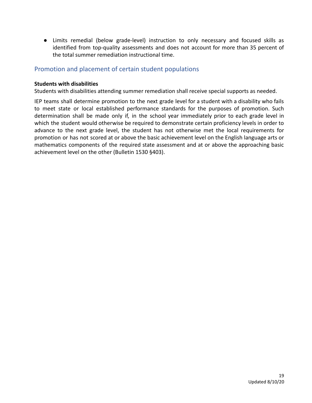● Limits remedial (below grade-level) instruction to only necessary and focused skills as identified from top-quality assessments and does not account for more than 35 percent of the total summer remediation instructional time.

## Promotion and placement of certain student populations

#### **Students with disabilities**

Students with disabilities attending summer remediation shall receive special supports as needed.

IEP teams shall determine promotion to the next grade level for a student with a disability who fails to meet state or local established performance standards for the purposes of promotion. Such determination shall be made only if, in the school year immediately prior to each grade level in which the student would otherwise be required to demonstrate certain proficiency levels in order to advance to the next grade level, the student has not otherwise met the local requirements for promotion or has not scored at or above the basic achievement level on the English language arts or mathematics components of the required state assessment and at or above the approaching basic achievement level on the other (Bulletin 1530 §403).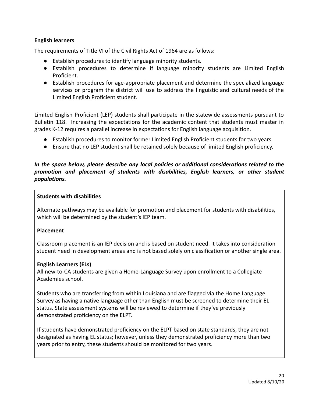#### **English learners**

The requirements of Title VI of the Civil Rights Act of 1964 are as follows:

- Establish procedures to identify language minority students.
- Establish procedures to determine if language minority students are Limited English Proficient.
- Establish procedures for age-appropriate placement and determine the specialized language services or program the district will use to address the linguistic and cultural needs of the Limited English Proficient student.

Limited English Proficient (LEP) students shall participate in the statewide assessments pursuant to Bulletin 118. Increasing the expectations for the academic content that students must master in grades K-12 requires a parallel increase in expectations for English language acquisition.

- Establish procedures to monitor former Limited English Proficient students for two years.
- Ensure that no LEP student shall be retained solely because of limited English proficiency.

#### *In the space below, please describe any local policies or additional considerations related to the promotion and placement of students with disabilities, English learners, or other student populations.*

#### **Students with disabilities**

Alternate pathways may be available for promotion and placement for students with disabilities, which will be determined by the student's IEP team.

#### **Placement**

Classroom placement is an IEP decision and is based on student need. It takes into consideration student need in development areas and is not based solely on classification or another single area.

#### **English Learners (ELs)**

All new-to-CA students are given a Home-Language Survey upon enrollment to a Collegiate Academies school.

Students who are transferring from within Louisiana and are flagged via the Home Language Survey as having a native language other than English must be screened to determine their EL status. State assessment systems will be reviewed to determine if they've previously demonstrated proficiency on the ELPT.

If students have demonstrated proficiency on the ELPT based on state standards, they are not designated as having EL status; however, unless they demonstrated proficiency more than two years prior to entry, these students should be monitored for two years.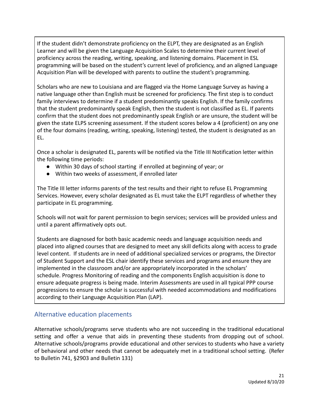If the student didn't demonstrate proficiency on the ELPT, they are designated as an English Learner and will be given the Language Acquisition Scales to determine their current level of proficiency across the reading, writing, speaking, and listening domains. Placement in ESL programming will be based on the student's current level of proficiency, and an aligned Language Acquisition Plan will be developed with parents to outline the student's programming.

Scholars who are new to Louisiana and are flagged via the Home Language Survey as having a native language other than English must be screened for proficiency. The first step is to conduct family interviews to determine if a student predominantly speaks English. If the family confirms that the student predominantly speak English, then the student is not classified as EL. If parents confirm that the student does not predominantly speak English or are unsure, the student will be given the state ELPS screening assessment. If the student scores below a 4 (proficient) on any one of the four domains (reading, writing, speaking, listening) tested, the student is designated as an EL.

Once a scholar is designated EL, parents will be notified via the Title III Notification letter within the following time periods:

- Within 30 days of school starting if enrolled at beginning of year; or
- Within two weeks of assessment, if enrolled later

The Title III letter informs parents of the test results and their right to refuse EL Programming Services. However, every scholar designated as EL must take the ELPT regardless of whether they participate in EL programming.

Schools will not wait for parent permission to begin services; services will be provided unless and until a parent affirmatively opts out.

Students are diagnosed for both basic academic needs and language acquisition needs and placed into aligned courses that are designed to meet any skill deficits along with access to grade level content. If students are in need of additional specialized services or programs, the Director of Student Support and the ESL chair identify these services and programs and ensure they are implemented in the classroom and/or are appropriately incorporated in the scholars' schedule. Progress Monitoring of reading and the components English acquisition is done to ensure adequate progress is being made. Interim Assessments are used in all typical PPP course progressions to ensure the scholar is successful with needed accommodations and modifications according to their Language Acquisition Plan (LAP).

## Alternative education placements

Alternative schools/programs serve students who are not succeeding in the traditional educational setting and offer a venue that aids in preventing these students from dropping out of school. Alternative schools/programs provide educational and other services to students who have a variety of behavioral and other needs that cannot be adequately met in a traditional school setting. (Refer to Bulletin 741, §2903 and Bulletin 131)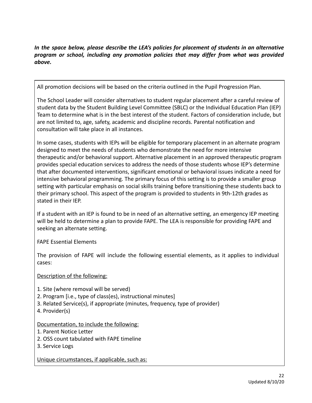*In the space below, please describe the LEA's policies for placement of students in an alternative program or school, including any promotion policies that may differ from what was provided above.* 

All promotion decisions will be based on the criteria outlined in the Pupil Progression Plan.

The School Leader will consider alternatives to student regular placement after a careful review of student data by the Student Building Level Committee (SBLC) or the Individual Education Plan (IEP) Team to determine what is in the best interest of the student. Factors of consideration include, but are not limited to, age, safety, academic and discipline records. Parental notification and consultation will take place in all instances.

In some cases, students with IEPs will be eligible for temporary placement in an alternate program designed to meet the needs of students who demonstrate the need for more intensive therapeutic and/or behavioral support. Alternative placement in an approved therapeutic program provides special education services to address the needs of those students whose IEP's determine that after documented interventions, significant emotional or behavioral issues indicate a need for intensive behavioral programming. The primary focus of this setting is to provide a smaller group setting with particular emphasis on social skills training before transitioning these students back to their primary school. This aspect of the program is provided to students in 9th-12th grades as stated in their IEP.

If a student with an IEP is found to be in need of an alternative setting, an emergency IEP meeting will be held to determine a plan to provide FAPE. The LEA is responsible for providing FAPE and seeking an alternate setting.

FAPE Essential Elements

The provision of FAPE will include the following essential elements, as it applies to individual cases:

Description of the following:

- 1. Site (where removal will be served)
- 2. Program [i.e., type of class(es), instructional minutes]
- 3. Related Service(s), if appropriate (minutes, frequency, type of provider)
- 4. Provider(s)

#### Documentation, to include the following:

- 1. Parent Notice Letter
- 2. OSS count tabulated with FAPE timeline
- 3. Service Logs

Unique circumstances, if applicable, such as: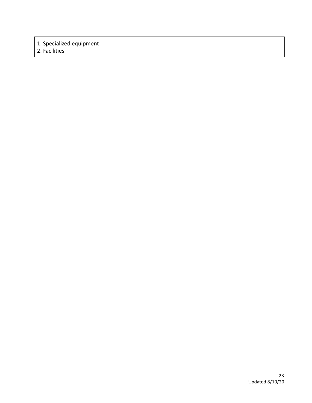## 1. Specialized equipment

2. Facilities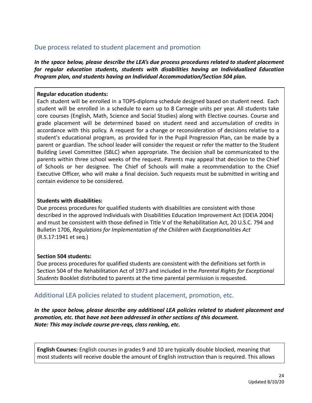## Due process related to student placement and promotion

*In the space below, please describe the LEA's due process procedures related to student placement for regular education students, students with disabilities having an Individualized Education Program plan, and students having an Individual Accommodation/Section 504 plan.* 

#### **Regular education students:**

Each student will be enrolled in a TOPS-diploma schedule designed based on student need. Each student will be enrolled in a schedule to earn up to 8 Carnegie units per year. All students take core courses (English, Math, Science and Social Studies) along with Elective courses. Course and grade placement will be determined based on student need and accumulation of credits in accordance with this policy. A request for a change or reconsideration of decisions relative to a student's educational program, as provided for in the Pupil Progression Plan, can be made by a parent or guardian. The school leader will consider the request or refer the matter to the Student Building Level Committee (SBLC} when appropriate. The decision shall be communicated to the parents within three school weeks of the request. Parents may appeal that decision to the Chief of Schools or her designee. The Chief of Schools will make a recommendation to the Chief Executive Officer, who will make a final decision. Such requests must be submitted in writing and contain evidence to be considered.

#### **Students with disabilities:**

Due process procedures for qualified students with disabilities are consistent with those described in the approved Individuals with Disabilities Education Improvement Act (IDEIA 2004) and must be consistent with those defined in Title V of the Rehabilitation Act, 20 U.S.C. 794 and Bulletin 1706, *Regulations for Implementation of the Children with Exceptionalities Act*  (R.S.17:1941 et seq.)

#### **Section 504 students:**

Due process procedures for qualified students are consistent with the definitions set forth in Section 504 of the Rehabilitation Act of 1973 and included in the *Parental Rights for Exceptional Students* Booklet distributed to parents at the time parental permission is requested.

## Additional LEA policies related to student placement, promotion, etc.

*In the space below, please describe any additional LEA policies related to student placement and promotion, etc. that have not been addressed in other sections of this document. Note: This may include course pre-reqs, class ranking, etc.* 

**English Courses:** English courses in grades 9 and 10 are typically double blocked, meaning that most students will receive double the amount of English instruction than is required. This allows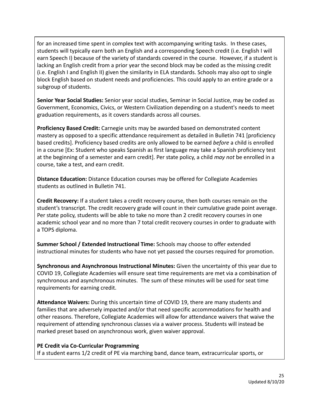for an increased time spent in complex text with accompanying writing tasks. In these cases, students will typically earn both an English and a corresponding Speech credit (i.e. English I will earn Speech I) because of the variety of standards covered in the course. However, if a student is lacking an English credit from a prior year the second block may be coded as the missing credit (i.e. English I and English II) given the similarity in ELA standards. Schools may also opt to single block English based on student needs and proficiencies. This could apply to an entire grade or a subgroup of students.

**Senior Year Social Studies:** Senior year social studies, Seminar in Social Justice, may be coded as Government, Economics, Civics, or Western Civilization depending on a student's needs to meet graduation requirements, as it covers standards across all courses.

**Proficiency Based Credit:** Carnegie units may be awarded based on demonstrated content mastery as opposed to a specific attendance requirement as detailed in Bulletin 741 [proficiency based credits]. Proficiency based credits are only allowed to be earned *before* a child is enrolled in a course [Ex: Student who speaks Spanish as first language may take a Spanish proficiency test at the beginning of a semester and earn credit]. Per state policy, a child *may not* be enrolled in a course, take a test, and earn credit.

**Distance Education:** Distance Education courses may be offered for Collegiate Academies students as outlined in Bulletin 741.

**Credit Recovery:** If a student takes a credit recovery course, then both courses remain on the student's transcript. The credit recovery grade will count in their cumulative grade point average. Per state policy, students will be able to take no more than 2 credit recovery courses in one academic school year and no more than 7 total credit recovery courses in order to graduate with a TOPS diploma.

**Summer School / Extended Instructional Time:** Schools may choose to offer extended instructional minutes for students who have not yet passed the courses required for promotion.

**Synchronous and Asynchronous Instructional Minutes:** Given the uncertainty of this year due to COVID 19, Collegiate Academies will ensure seat time requirements are met via a combination of synchronous and asynchronous minutes. The sum of these minutes will be used for seat time requirements for earning credit.

**Attendance Waivers:** During this uncertain time of COVID 19, there are many students and families that are adversely impacted and/or that need specific accommodations for health and other reasons. Therefore, Collegiate Academies will allow for attendance waivers that waive the requirement of attending synchronous classes via a waiver process. Students will instead be marked preset based on asynchronous work, given waiver approval.

#### **PE Credit via Co-Curricular Programming**

If a student earns 1/2 credit of PE via marching band, dance team, extracurricular sports, or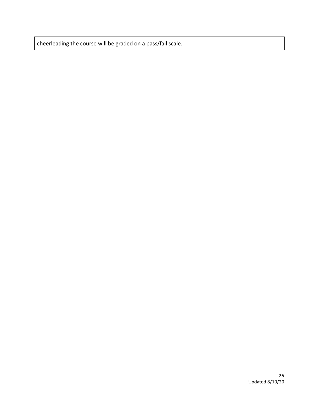cheerleading the course will be graded on a pass/fail scale.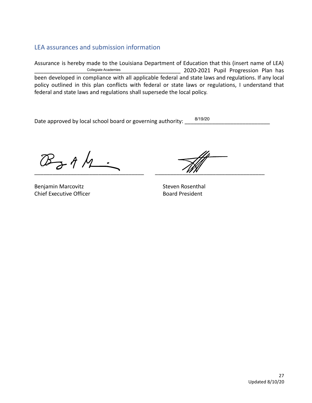## LEA assurances and submission information

Assurance is hereby made to the Louisiana Department of Education that this (insert name of LEA) \_\_\_\_\_\_\_\_\_\_\_\_\_\_\_\_\_\_\_\_\_\_\_\_\_\_\_\_\_\_\_\_\_\_\_\_\_\_\_\_\_\_\_\_\_\_\_\_ 2020-2021 Pupil Progression Plan has been developed in compliance with all applicable federal and state laws and regulations. If any local policy outlined in this plan conflicts with federal or state laws or regulations, I understand that federal and state laws and regulations shall supersede the local policy. Collegiate Academies

Date approved by local school board or governing authority: 8/19/20

Benjamin Marcovitz **Steven Rosenthal** Chief Executive Officer **Board President** 

\_\_\_\_\_\_\_\_\_\_\_\_\_\_\_\_\_\_\_\_\_\_\_\_\_\_\_\_\_\_\_\_\_\_\_\_ \_\_\_\_\_\_\_\_\_\_\_\_\_\_\_\_\_\_\_\_\_\_\_\_\_\_\_\_\_\_\_\_\_\_\_\_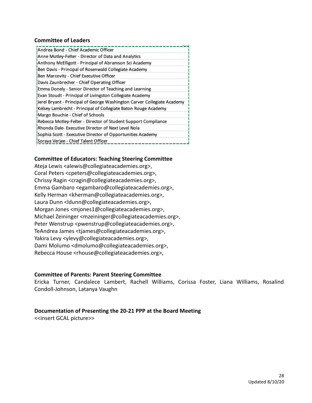#### **Committee of Leaders**

| Andrea Bond - Chief Academic Officer                                    |
|-------------------------------------------------------------------------|
| Anne Motley-Felter - Director of Data and Analytics                     |
| Anthony McElligott - Principal of Abramson Sci Academy                  |
| Ben Davis - Principal of Rosenwald Collegiate Academy                   |
| Ben Marcovitz - Chief Executive Officer                                 |
| Davis Zaunbrecher - Chief Operating Officer                             |
| Emma Donely - Senior Director of Teaching and Learning                  |
| Evan Stoudt - Principal of Livingston Collegiate Academy                |
| Jerel Bryant - Principal of George Washington Carver Collegiate Academy |
| Kelsey Lambrecht - Principal of Collegiate Baton Rouge Academy          |
| Margo Bouchie - Chief of Schools                                        |
| Rebecca Motley-Felter - Director of Student Support Compliance          |
| Rhonda Dale- Executive Director of Next Level Nola                      |
| Sophia Scott - Executive Director of Opportunities Academy              |
| Soraya Verjee - Chief Talent Officer                                    |

#### **Committee of Educators: Teaching Steering Committee**

Ateja Lewis <alewis@collegiateacademies.org>, Coral Peters <cpeters@collegiateacademies.org>, Chrissy Ragin <cragin@collegiateacademies.org>, Emma Gambaro <egambaro@collegiateacademies.org>, Kelly Herman <kherman@collegiateacademies.org>, Laura Dunn <ldunn@collegiateacademies.org>, Morgan Jones <mjones1@collegiateacademies.org>, Michael Zeininger <mzeininger@collegiateacademies.org>, Peter Wenstrup <pwenstrup@collegiateacademies.org>, TeAndrea James <tjames@collegiateacademies.org>, Yakira Levy <ylevy@collegiateacademies.org>, Dami Molumo <dmolumo@collegiateacademies.org>, Rebecca House <rhouse@collegiateacademies.org>,

#### **Committee of Parents: Parent Steering Committee**

Ericka Turner, Candalece Lambert, Rachell Williams, Corissa Foster, Liana Williams, Rosalind Condoll-Johnson, Latanya Vaughn

#### **Documentation of Presenting the 20-21 PPP at the Board Meeting**

<<insert GCAL picture>>